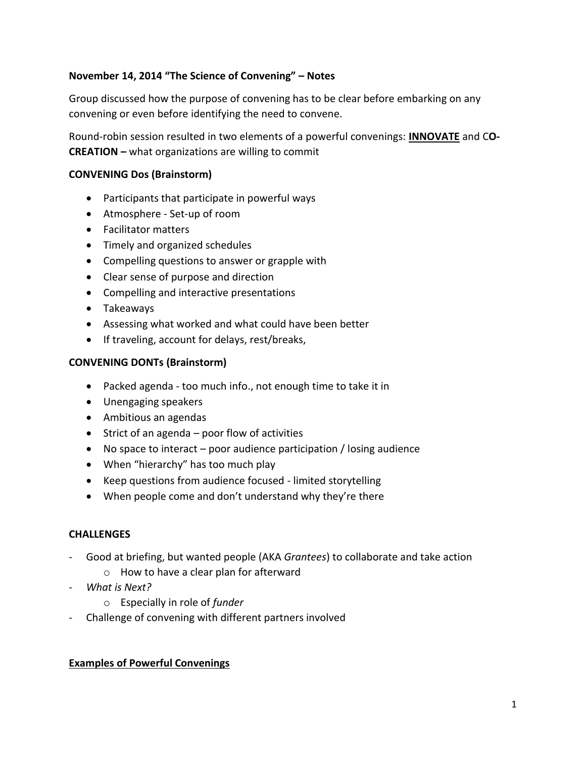# **November 14, 2014 "The Science of Convening" – Notes**

Group discussed how the purpose of convening has to be clear before embarking on any convening or even before identifying the need to convene.

Round-robin session resulted in two elements of a powerful convenings: **INNOVATE** and C**O-CREATION –** what organizations are willing to commit

## **CONVENING Dos (Brainstorm)**

- Participants that participate in powerful ways
- Atmosphere Set-up of room
- Facilitator matters
- Timely and organized schedules
- Compelling questions to answer or grapple with
- Clear sense of purpose and direction
- Compelling and interactive presentations
- Takeaways
- Assessing what worked and what could have been better
- If traveling, account for delays, rest/breaks,

## **CONVENING DONTs (Brainstorm)**

- Packed agenda too much info., not enough time to take it in
- Unengaging speakers
- Ambitious an agendas
- $\bullet$  Strict of an agenda poor flow of activities
- No space to interact poor audience participation / losing audience
- When "hierarchy" has too much play
- Keep questions from audience focused limited storytelling
- When people come and don't understand why they're there

## **CHALLENGES**

- Good at briefing, but wanted people (AKA *Grantees*) to collaborate and take action
	- o How to have a clear plan for afterward
- *What is Next?*
	- o Especially in role of *funder*
- Challenge of convening with different partners involved

## **Examples of Powerful Convenings**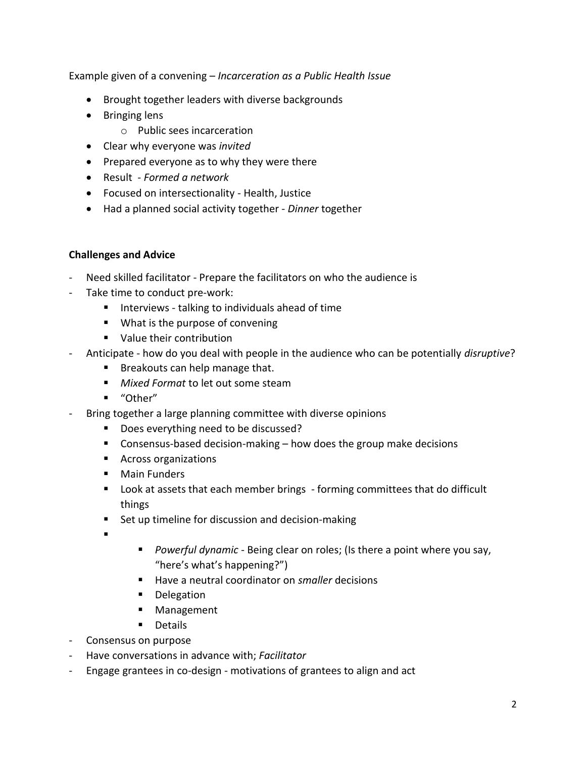Example given of a convening – *Incarceration as a Public Health Issue*

- Brought together leaders with diverse backgrounds
- Bringing lens
	- o Public sees incarceration
- Clear why everyone was *invited*
- Prepared everyone as to why they were there
- Result *Formed a network*
- Focused on intersectionality Health, Justice
- Had a planned social activity together *- Dinner* together

## **Challenges and Advice**

- Need skilled facilitator Prepare the facilitators on who the audience is
- Take time to conduct pre-work:
	- $\blacksquare$  Interviews talking to individuals ahead of time
	- **What is the purpose of convening**
	- Value their contribution
- Anticipate how do you deal with people in the audience who can be potentially *disruptive*?
	- **Breakouts can help manage that.**
	- *Mixed Format* to let out some steam
	- "Other"
- Bring together a large planning committee with diverse opinions
	- Does everything need to be discussed?
	- Consensus-based decision-making  $-$  how does the group make decisions
	- **Across organizations**
	- **Main Funders**
	- **Look at assets that each member brings** forming committees that do difficult things
	- **Set up timeline for discussion and decision-making**
	- .
- *Powerful dynamic -* Being clear on roles; (Is there a point where you say, "here's what's happening?")
- Have a neutral coordinator on *smaller* decisions
- **Delegation**
- **Management**
- **Details**
- Consensus on purpose
- Have conversations in advance with; *Facilitator*
- Engage grantees in co-design motivations of grantees to align and act